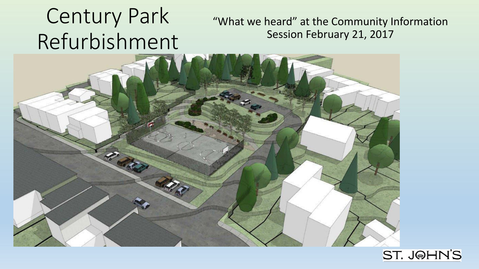#### Century Park Refurbishment "What we heard" at the Community Information Session February 21, 2017



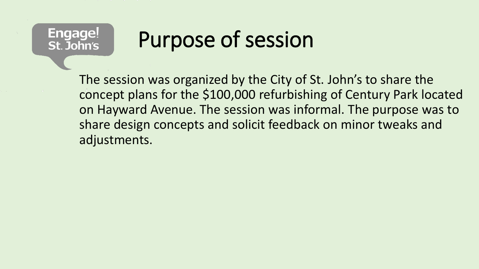#### **Engage!** St. John's

# Purpose of session

The session was organized by the City of St. John's to share the concept plans for the \$100,000 refurbishing of Century Park located on Hayward Avenue. The session was informal. The purpose was to share design concepts and solicit feedback on minor tweaks and adjustments.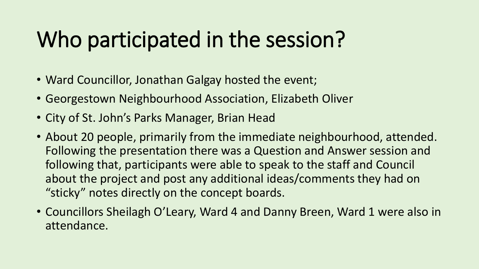## Who participated in the session?

- Ward Councillor, Jonathan Galgay hosted the event;
- Georgestown Neighbourhood Association, Elizabeth Oliver
- City of St. John's Parks Manager, Brian Head
- About 20 people, primarily from the immediate neighbourhood, attended. Following the presentation there was a Question and Answer session and following that, participants were able to speak to the staff and Council about the project and post any additional ideas/comments they had on "sticky" notes directly on the concept boards.
- Councillors Sheilagh O'Leary, Ward 4 and Danny Breen, Ward 1 were also in attendance.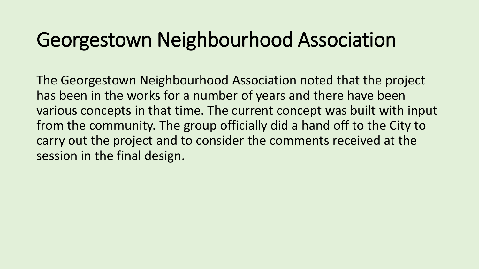### Georgestown Neighbourhood Association

The Georgestown Neighbourhood Association noted that the project has been in the works for a number of years and there have been various concepts in that time. The current concept was built with input from the community. The group officially did a hand off to the City to carry out the project and to consider the comments received at the session in the final design.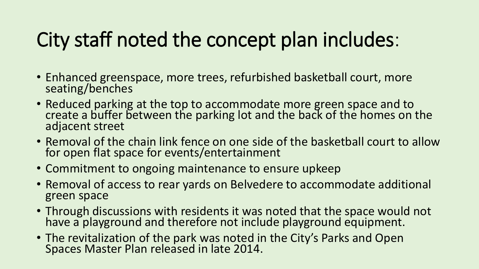## City staff noted the concept plan includes:

- Enhanced greenspace, more trees, refurbished basketball court, more seating/benches
- Reduced parking at the top to accommodate more green space and to create a buffer between the parking lot and the back of the homes on the adjacent street
- Removal of the chain link fence on one side of the basketball court to allow for open flat space for events/entertainment
- Commitment to ongoing maintenance to ensure upkeep
- Removal of access to rear yards on Belvedere to accommodate additional green space
- Through discussions with residents it was noted that the space would not have a playground and therefore not include playground equipment.
- The revitalization of the park was noted in the City's Parks and Open Spaces Master Plan released in late 2014.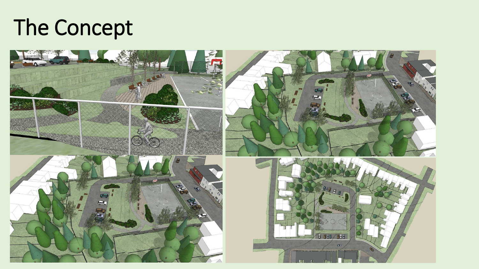

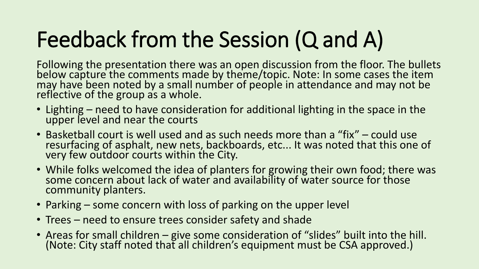# Feedback from the Session (Q and A)

Following the presentation there was an open discussion from the floor. The bullets below capture the comments made by theme/topic. Note: In some cases the item may have been noted by a small number of people in attendance and may not be reflective of the group as a whole.

- Lighting need to have consideration for additional lighting in the space in the upper level and near the courts
- Basketball court is well used and as such needs more than a "fix" could use resurfacing of asphalt, new nets, backboards, etc... It was noted that this one of very few outdoor courts within the City.
- While folks welcomed the idea of planters for growing their own food; there was some concern about lack of water and availability of water source for those community planters.
- Parking some concern with loss of parking on the upper level
- Trees need to ensure trees consider safety and shade
- Areas for small children give some consideration of "slides" built into the hill. (Note: City staff noted that all children's equipment must be CSA approved.)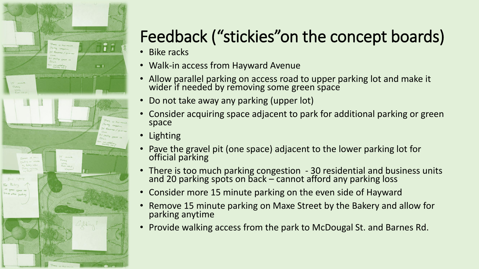

### Feedback ("stickies"on the concept boards)

- Bike racks
- Walk-in access from Hayward Avenue
- Allow parallel parking on access road to upper parking lot and make it wider if needed by removing some green space
- Do not take away any parking (upper lot)
- Consider acquiring space adjacent to park for additional parking or green space
- Lighting
- Pave the gravel pit (one space) adjacent to the lower parking lot for official parking
- There is too much parking congestion 30 residential and business units and 20 parking spots on back – cannot afford any parking loss
- Consider more 15 minute parking on the even side of Hayward
- Remove 15 minute parking on Maxe Street by the Bakery and allow for parking anytime
- Provide walking access from the park to McDougal St. and Barnes Rd.